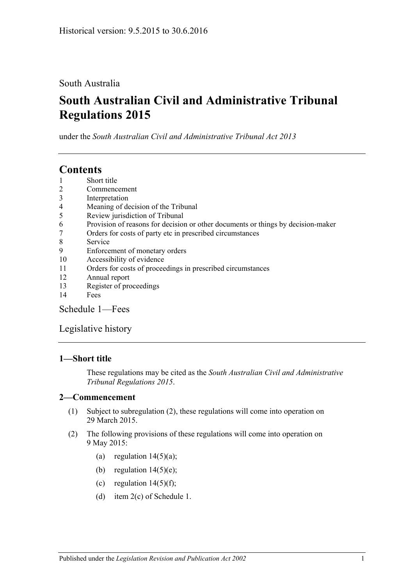# South Australia

# **South Australian Civil and Administrative Tribunal Regulations 2015**

under the *South Australian Civil and Administrative Tribunal Act 2013*

# **Contents**

- 1 [Short title](#page-0-0)
- 2 [Commencement](#page-0-1)
- 3 [Interpretation](#page-1-0)
- 4 [Meaning of decision of the Tribunal](#page-1-1)
- 5 [Review jurisdiction of Tribunal](#page-1-2)
- 6 [Provision of reasons for decision or other documents or things by decision-maker](#page-2-0)
- 7 [Orders for costs of party etc in prescribed circumstances](#page-2-1)
- 8 [Service](#page-3-0)
- 9 [Enforcement of monetary orders](#page-3-1)
- 10 [Accessibility of evidence](#page-4-0)
- 11 [Orders for costs of proceedings in prescribed circumstances](#page-4-1)
- 12 [Annual report](#page-5-0)
- 13 [Register of proceedings](#page-5-1)
- 14 [Fees](#page-6-0)

[Schedule](#page-8-0) 1—Fees

# [Legislative history](#page-9-0)

# <span id="page-0-0"></span>**1—Short title**

These regulations may be cited as the *South Australian Civil and Administrative Tribunal Regulations 2015*.

# <span id="page-0-1"></span>**2—Commencement**

- (1) Subject to [subregulation](#page-0-2) (2), these regulations will come into operation on 29 March 2015.
- <span id="page-0-2"></span>(2) The following provisions of these regulations will come into operation on 9 May 2015:
	- (a) [regulation](#page-6-1)  $14(5)(a)$ ;
	- (b) [regulation](#page-7-0)  $14(5)(e)$ ;
	- (c) [regulation](#page-7-1)  $14(5)(f)$ ;
	- (d) item 2(c) of [Schedule](#page-8-0) 1.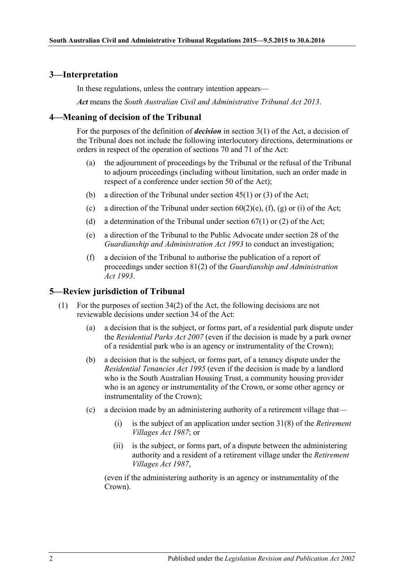### <span id="page-1-0"></span>**3—Interpretation**

In these regulations, unless the contrary intention appears—

*Act* means the *[South Australian Civil and Administrative Tribunal Act](http://www.legislation.sa.gov.au/index.aspx?action=legref&type=act&legtitle=South%20Australian%20Civil%20and%20Administrative%20Tribunal%20Act%202013) 2013*.

# <span id="page-1-1"></span>**4—Meaning of decision of the Tribunal**

For the purposes of the definition of *decision* in section 3(1) of the Act, a decision of the Tribunal does not include the following interlocutory directions, determinations or orders in respect of the operation of sections 70 and 71 of the Act:

- (a) the adjournment of proceedings by the Tribunal or the refusal of the Tribunal to adjourn proceedings (including without limitation, such an order made in respect of a conference under section 50 of the Act);
- (b) a direction of the Tribunal under section 45(1) or (3) of the Act;
- (c) a direction of the Tribunal under section  $60(2)(e)$ ,  $(f)$ ,  $(g)$  or  $(i)$  of the Act;
- (d) a determination of the Tribunal under section  $67(1)$  or (2) of the Act;
- (e) a direction of the Tribunal to the Public Advocate under section 28 of the *[Guardianship and Administration Act](http://www.legislation.sa.gov.au/index.aspx?action=legref&type=act&legtitle=Guardianship%20and%20Administration%20Act%201993) 1993* to conduct an investigation;
- (f) a decision of the Tribunal to authorise the publication of a report of proceedings under section 81(2) of the *[Guardianship and Administration](http://www.legislation.sa.gov.au/index.aspx?action=legref&type=act&legtitle=Guardianship%20and%20Administration%20Act%201993)  Act [1993](http://www.legislation.sa.gov.au/index.aspx?action=legref&type=act&legtitle=Guardianship%20and%20Administration%20Act%201993)*.

### <span id="page-1-2"></span>**5—Review jurisdiction of Tribunal**

- (1) For the purposes of section 34(2) of the Act, the following decisions are not reviewable decisions under section 34 of the Act:
	- (a) a decision that is the subject, or forms part, of a residential park dispute under the *[Residential Parks Act](http://www.legislation.sa.gov.au/index.aspx?action=legref&type=act&legtitle=Residential%20Parks%20Act%202007) 2007* (even if the decision is made by a park owner of a residential park who is an agency or instrumentality of the Crown);
	- (b) a decision that is the subject, or forms part, of a tenancy dispute under the *[Residential Tenancies Act](http://www.legislation.sa.gov.au/index.aspx?action=legref&type=act&legtitle=Residential%20Tenancies%20Act%201995) 1995* (even if the decision is made by a landlord who is the South Australian Housing Trust, a community housing provider who is an agency or instrumentality of the Crown, or some other agency or instrumentality of the Crown);
	- (c) a decision made by an administering authority of a retirement village that—
		- (i) is the subject of an application under section 31(8) of the *[Retirement](http://www.legislation.sa.gov.au/index.aspx?action=legref&type=act&legtitle=Retirement%20Villages%20Act%201987)  [Villages Act](http://www.legislation.sa.gov.au/index.aspx?action=legref&type=act&legtitle=Retirement%20Villages%20Act%201987) 1987*; or
		- (ii) is the subject, or forms part, of a dispute between the administering authority and a resident of a retirement village under the *[Retirement](http://www.legislation.sa.gov.au/index.aspx?action=legref&type=act&legtitle=Retirement%20Villages%20Act%201987)  [Villages Act](http://www.legislation.sa.gov.au/index.aspx?action=legref&type=act&legtitle=Retirement%20Villages%20Act%201987) 1987*,

(even if the administering authority is an agency or instrumentality of the Crown).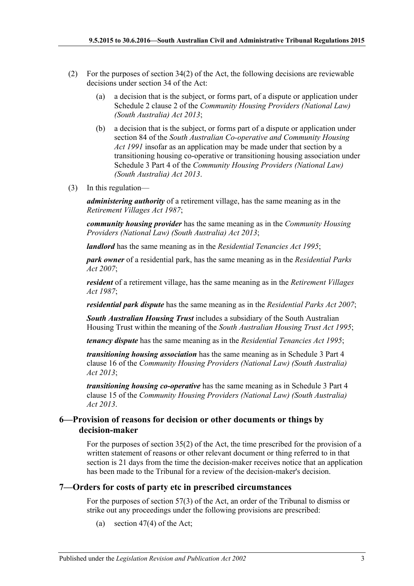- (2) For the purposes of section  $34(2)$  of the Act, the following decisions are reviewable decisions under section 34 of the Act:
	- (a) a decision that is the subject, or forms part, of a dispute or application under Schedule 2 clause 2 of the *[Community Housing Providers \(National Law\)](http://www.legislation.sa.gov.au/index.aspx?action=legref&type=act&legtitle=Community%20Housing%20Providers%20(National%20Law)%20(South%20Australia)%20Act%202013)  [\(South Australia\) Act](http://www.legislation.sa.gov.au/index.aspx?action=legref&type=act&legtitle=Community%20Housing%20Providers%20(National%20Law)%20(South%20Australia)%20Act%202013) 2013*;
	- (b) a decision that is the subject, or forms part of a dispute or application under section 84 of the *[South Australian Co-operative and Community Housing](http://www.legislation.sa.gov.au/index.aspx?action=legref&type=act&legtitle=South%20Australian%20Co-operative%20and%20Community%20Housing%20Act%201991)  Act [1991](http://www.legislation.sa.gov.au/index.aspx?action=legref&type=act&legtitle=South%20Australian%20Co-operative%20and%20Community%20Housing%20Act%201991)* insofar as an application may be made under that section by a transitioning housing co-operative or transitioning housing association under Schedule 3 Part 4 of the *[Community Housing Providers \(National Law\)](http://www.legislation.sa.gov.au/index.aspx?action=legref&type=act&legtitle=Community%20Housing%20Providers%20(National%20Law)%20(South%20Australia)%20Act%202013)  [\(South Australia\) Act](http://www.legislation.sa.gov.au/index.aspx?action=legref&type=act&legtitle=Community%20Housing%20Providers%20(National%20Law)%20(South%20Australia)%20Act%202013) 2013*.
- (3) In this regulation—

*administering authority* of a retirement village, has the same meaning as in the *[Retirement Villages Act](http://www.legislation.sa.gov.au/index.aspx?action=legref&type=act&legtitle=Retirement%20Villages%20Act%201987) 1987*;

*community housing provider* has the same meaning as in the *[Community Housing](http://www.legislation.sa.gov.au/index.aspx?action=legref&type=act&legtitle=Community%20Housing%20Providers%20(National%20Law)%20(South%20Australia)%20Act%202013)  [Providers \(National Law\) \(South Australia\) Act](http://www.legislation.sa.gov.au/index.aspx?action=legref&type=act&legtitle=Community%20Housing%20Providers%20(National%20Law)%20(South%20Australia)%20Act%202013) 2013*;

*landlord* has the same meaning as in the *[Residential Tenancies Act](http://www.legislation.sa.gov.au/index.aspx?action=legref&type=act&legtitle=Residential%20Tenancies%20Act%201995) 1995*;

*park owner* of a residential park, has the same meaning as in the *[Residential Parks](http://www.legislation.sa.gov.au/index.aspx?action=legref&type=act&legtitle=Residential%20Parks%20Act%202007)  Act [2007](http://www.legislation.sa.gov.au/index.aspx?action=legref&type=act&legtitle=Residential%20Parks%20Act%202007)*;

*resident* of a retirement village, has the same meaning as in the *[Retirement Villages](http://www.legislation.sa.gov.au/index.aspx?action=legref&type=act&legtitle=Retirement%20Villages%20Act%201987)  Act [1987](http://www.legislation.sa.gov.au/index.aspx?action=legref&type=act&legtitle=Retirement%20Villages%20Act%201987)*;

*residential park dispute* has the same meaning as in the *[Residential Parks Act](http://www.legislation.sa.gov.au/index.aspx?action=legref&type=act&legtitle=Residential%20Parks%20Act%202007) 2007*;

*South Australian Housing Trust* includes a subsidiary of the South Australian Housing Trust within the meaning of the *[South Australian Housing Trust Act](http://www.legislation.sa.gov.au/index.aspx?action=legref&type=act&legtitle=South%20Australian%20Housing%20Trust%20Act%201995) 1995*;

*tenancy dispute* has the same meaning as in the *[Residential Tenancies Act](http://www.legislation.sa.gov.au/index.aspx?action=legref&type=act&legtitle=Residential%20Tenancies%20Act%201995) 1995*;

*transitioning housing association* has the same meaning as in Schedule 3 Part 4 clause 16 of the *[Community Housing Providers \(National Law\) \(South Australia\)](http://www.legislation.sa.gov.au/index.aspx?action=legref&type=act&legtitle=Community%20Housing%20Providers%20(National%20Law)%20(South%20Australia)%20Act%202013)  Act [2013](http://www.legislation.sa.gov.au/index.aspx?action=legref&type=act&legtitle=Community%20Housing%20Providers%20(National%20Law)%20(South%20Australia)%20Act%202013)*;

*transitioning housing co-operative* has the same meaning as in Schedule 3 Part 4 clause 15 of the *[Community Housing Providers \(National Law\) \(South Australia\)](http://www.legislation.sa.gov.au/index.aspx?action=legref&type=act&legtitle=Community%20Housing%20Providers%20(National%20Law)%20(South%20Australia)%20Act%202013)  Act [2013](http://www.legislation.sa.gov.au/index.aspx?action=legref&type=act&legtitle=Community%20Housing%20Providers%20(National%20Law)%20(South%20Australia)%20Act%202013)*.

# <span id="page-2-0"></span>**6—Provision of reasons for decision or other documents or things by decision-maker**

For the purposes of section 35(2) of the Act, the time prescribed for the provision of a written statement of reasons or other relevant document or thing referred to in that section is 21 days from the time the decision-maker receives notice that an application has been made to the Tribunal for a review of the decision-maker's decision.

# <span id="page-2-1"></span>**7—Orders for costs of party etc in prescribed circumstances**

For the purposes of section 57(3) of the Act, an order of the Tribunal to dismiss or strike out any proceedings under the following provisions are prescribed:

(a) section 47(4) of the Act;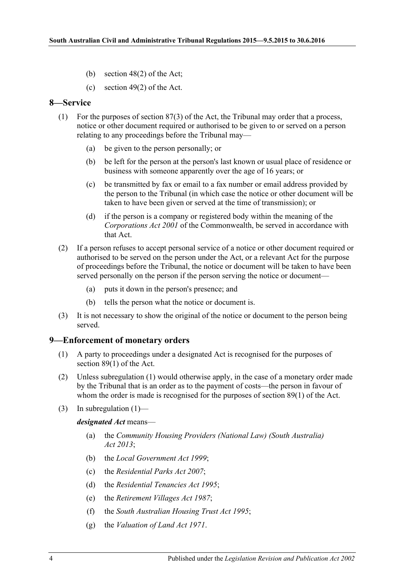- (b) section 48(2) of the Act;
- (c) section 49(2) of the Act.

# <span id="page-3-0"></span>**8—Service**

- (1) For the purposes of section 87(3) of the Act, the Tribunal may order that a process, notice or other document required or authorised to be given to or served on a person relating to any proceedings before the Tribunal may—
	- (a) be given to the person personally; or
	- (b) be left for the person at the person's last known or usual place of residence or business with someone apparently over the age of 16 years; or
	- (c) be transmitted by fax or email to a fax number or email address provided by the person to the Tribunal (in which case the notice or other document will be taken to have been given or served at the time of transmission); or
	- (d) if the person is a company or registered body within the meaning of the *Corporations Act 2001* of the Commonwealth, be served in accordance with that Act.
- (2) If a person refuses to accept personal service of a notice or other document required or authorised to be served on the person under the Act, or a relevant Act for the purpose of proceedings before the Tribunal, the notice or document will be taken to have been served personally on the person if the person serving the notice or document—
	- (a) puts it down in the person's presence; and
	- (b) tells the person what the notice or document is.
- (3) It is not necessary to show the original of the notice or document to the person being served.

#### <span id="page-3-2"></span><span id="page-3-1"></span>**9—Enforcement of monetary orders**

- (1) A party to proceedings under a designated Act is recognised for the purposes of section 89(1) of the Act.
- (2) Unless [subregulation](#page-3-2) (1) would otherwise apply, in the case of a monetary order made by the Tribunal that is an order as to the payment of costs—the person in favour of whom the order is made is recognised for the purposes of section 89(1) of the Act.
- (3) In [subregulation](#page-3-2)  $(1)$ —

*designated Act* means—

- (a) the *[Community Housing Providers \(National Law\) \(South Australia\)](http://www.legislation.sa.gov.au/index.aspx?action=legref&type=act&legtitle=Community%20Housing%20Providers%20(National%20Law)%20(South%20Australia)%20Act%202013)  Act [2013](http://www.legislation.sa.gov.au/index.aspx?action=legref&type=act&legtitle=Community%20Housing%20Providers%20(National%20Law)%20(South%20Australia)%20Act%202013)*;
- (b) the *[Local Government Act](http://www.legislation.sa.gov.au/index.aspx?action=legref&type=act&legtitle=Local%20Government%20Act%201999) 1999*;
- (c) the *[Residential Parks Act](http://www.legislation.sa.gov.au/index.aspx?action=legref&type=act&legtitle=Residential%20Parks%20Act%202007) 2007*;
- (d) the *[Residential Tenancies Act](http://www.legislation.sa.gov.au/index.aspx?action=legref&type=act&legtitle=Residential%20Tenancies%20Act%201995) 1995*;
- (e) the *[Retirement Villages Act](http://www.legislation.sa.gov.au/index.aspx?action=legref&type=act&legtitle=Retirement%20Villages%20Act%201987) 1987*;
- (f) the *[South Australian Housing Trust Act](http://www.legislation.sa.gov.au/index.aspx?action=legref&type=act&legtitle=South%20Australian%20Housing%20Trust%20Act%201995) 1995*;
- (g) the *[Valuation of Land Act](http://www.legislation.sa.gov.au/index.aspx?action=legref&type=act&legtitle=Valuation%20of%20Land%20Act%201971) 1971*.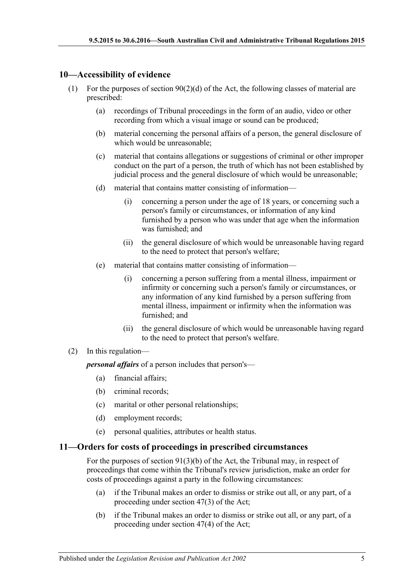# <span id="page-4-0"></span>**10—Accessibility of evidence**

- (1) For the purposes of section  $90(2)(d)$  of the Act, the following classes of material are prescribed:
	- (a) recordings of Tribunal proceedings in the form of an audio, video or other recording from which a visual image or sound can be produced;
	- (b) material concerning the personal affairs of a person, the general disclosure of which would be unreasonable;
	- (c) material that contains allegations or suggestions of criminal or other improper conduct on the part of a person, the truth of which has not been established by judicial process and the general disclosure of which would be unreasonable;
	- (d) material that contains matter consisting of information—
		- (i) concerning a person under the age of 18 years, or concerning such a person's family or circumstances, or information of any kind furnished by a person who was under that age when the information was furnished; and
		- (ii) the general disclosure of which would be unreasonable having regard to the need to protect that person's welfare;
	- (e) material that contains matter consisting of information—
		- (i) concerning a person suffering from a mental illness, impairment or infirmity or concerning such a person's family or circumstances, or any information of any kind furnished by a person suffering from mental illness, impairment or infirmity when the information was furnished; and
		- (ii) the general disclosure of which would be unreasonable having regard to the need to protect that person's welfare.

#### (2) In this regulation—

*personal affairs* of a person includes that person's—

- (a) financial affairs;
- (b) criminal records;
- (c) marital or other personal relationships;
- (d) employment records;
- (e) personal qualities, attributes or health status.

#### <span id="page-4-1"></span>**11—Orders for costs of proceedings in prescribed circumstances**

For the purposes of section 91(3)(b) of the Act, the Tribunal may, in respect of proceedings that come within the Tribunal's review jurisdiction, make an order for costs of proceedings against a party in the following circumstances:

- (a) if the Tribunal makes an order to dismiss or strike out all, or any part, of a proceeding under section 47(3) of the Act;
- (b) if the Tribunal makes an order to dismiss or strike out all, or any part, of a proceeding under section 47(4) of the Act;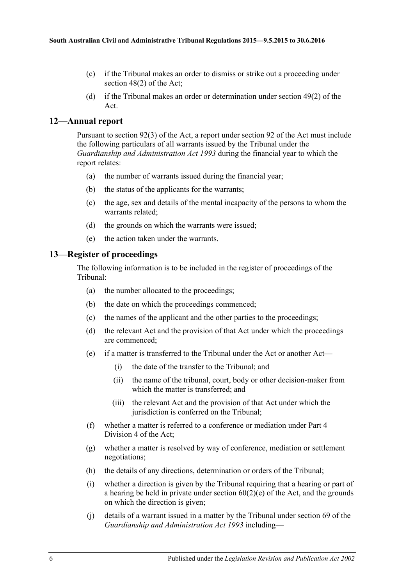- (c) if the Tribunal makes an order to dismiss or strike out a proceeding under section 48(2) of the Act;
- (d) if the Tribunal makes an order or determination under section 49(2) of the Act.

# <span id="page-5-0"></span>**12—Annual report**

Pursuant to section 92(3) of the Act, a report under section 92 of the Act must include the following particulars of all warrants issued by the Tribunal under the *[Guardianship and Administration Act](http://www.legislation.sa.gov.au/index.aspx?action=legref&type=act&legtitle=Guardianship%20and%20Administration%20Act%201993) 1993* during the financial year to which the report relates:

- (a) the number of warrants issued during the financial year;
- (b) the status of the applicants for the warrants;
- (c) the age, sex and details of the mental incapacity of the persons to whom the warrants related;
- (d) the grounds on which the warrants were issued;
- (e) the action taken under the warrants.

#### <span id="page-5-1"></span>**13—Register of proceedings**

The following information is to be included in the register of proceedings of the Tribunal:

- (a) the number allocated to the proceedings;
- (b) the date on which the proceedings commenced;
- (c) the names of the applicant and the other parties to the proceedings;
- (d) the relevant Act and the provision of that Act under which the proceedings are commenced;
- (e) if a matter is transferred to the Tribunal under the Act or another Act—
	- (i) the date of the transfer to the Tribunal; and
	- (ii) the name of the tribunal, court, body or other decision-maker from which the matter is transferred; and
	- (iii) the relevant Act and the provision of that Act under which the jurisdiction is conferred on the Tribunal:
- (f) whether a matter is referred to a conference or mediation under Part 4 Division 4 of the Act;
- (g) whether a matter is resolved by way of conference, mediation or settlement negotiations;
- (h) the details of any directions, determination or orders of the Tribunal;
- (i) whether a direction is given by the Tribunal requiring that a hearing or part of a hearing be held in private under section  $60(2)(e)$  of the Act, and the grounds on which the direction is given;
- (j) details of a warrant issued in a matter by the Tribunal under section 69 of the *[Guardianship and Administration Act](http://www.legislation.sa.gov.au/index.aspx?action=legref&type=act&legtitle=Guardianship%20and%20Administration%20Act%201993) 1993* including—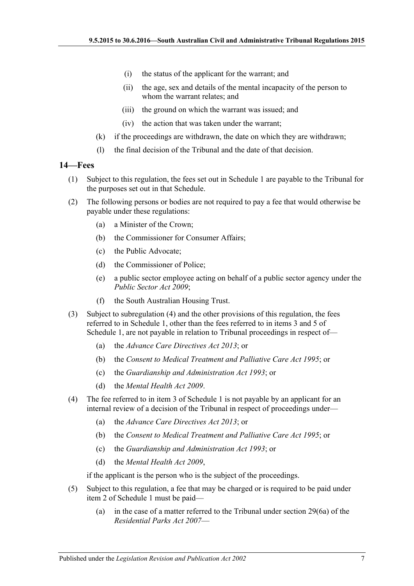- (i) the status of the applicant for the warrant; and
- (ii) the age, sex and details of the mental incapacity of the person to whom the warrant relates; and
- (iii) the ground on which the warrant was issued; and
- (iv) the action that was taken under the warrant;
- (k) if the proceedings are withdrawn, the date on which they are withdrawn;
- (l) the final decision of the Tribunal and the date of that decision.

# <span id="page-6-0"></span>**14—Fees**

- (1) Subject to this regulation, the fees set out in [Schedule](#page-8-0) 1 are payable to the Tribunal for the purposes set out in that Schedule.
- (2) The following persons or bodies are not required to pay a fee that would otherwise be payable under these regulations:
	- (a) a Minister of the Crown;
	- (b) the Commissioner for Consumer Affairs;
	- (c) the Public Advocate;
	- (d) the Commissioner of Police;
	- (e) a public sector employee acting on behalf of a public sector agency under the *[Public Sector Act](http://www.legislation.sa.gov.au/index.aspx?action=legref&type=act&legtitle=Public%20Sector%20Act%202009) 2009*;
	- (f) the South Australian Housing Trust.
- <span id="page-6-3"></span>(3) Subject to [subregulation](#page-6-2) (4) and the other provisions of this regulation, the fees referred to in [Schedule](#page-8-0) 1, other than the fees referred to in items 3 and 5 of [Schedule](#page-8-0) 1, are not payable in relation to Tribunal proceedings in respect of—
	- (a) the *[Advance Care Directives Act](http://www.legislation.sa.gov.au/index.aspx?action=legref&type=act&legtitle=Advance%20Care%20Directives%20Act%202013) 2013*; or
	- (b) the *[Consent to Medical Treatment and Palliative Care Act](http://www.legislation.sa.gov.au/index.aspx?action=legref&type=act&legtitle=Consent%20to%20Medical%20Treatment%20and%20Palliative%20Care%20Act%201995) 1995*; or
	- (c) the *[Guardianship and Administration Act](http://www.legislation.sa.gov.au/index.aspx?action=legref&type=act&legtitle=Guardianship%20and%20Administration%20Act%201993) 1993*; or
	- (d) the *[Mental Health Act](http://www.legislation.sa.gov.au/index.aspx?action=legref&type=act&legtitle=Mental%20Health%20Act%202009) 2009*.
- <span id="page-6-2"></span>(4) The fee referred to in item 3 of [Schedule](#page-8-0) 1 is not payable by an applicant for an internal review of a decision of the Tribunal in respect of proceedings under—
	- (a) the *[Advance Care Directives Act](http://www.legislation.sa.gov.au/index.aspx?action=legref&type=act&legtitle=Advance%20Care%20Directives%20Act%202013) 2013*; or
	- (b) the *[Consent to Medical Treatment and Palliative Care Act](http://www.legislation.sa.gov.au/index.aspx?action=legref&type=act&legtitle=Consent%20to%20Medical%20Treatment%20and%20Palliative%20Care%20Act%201995) 1995*; or
	- (c) the *[Guardianship and Administration Act](http://www.legislation.sa.gov.au/index.aspx?action=legref&type=act&legtitle=Guardianship%20and%20Administration%20Act%201993) 1993*; or
	- (d) the *[Mental Health Act](http://www.legislation.sa.gov.au/index.aspx?action=legref&type=act&legtitle=Mental%20Health%20Act%202009) 2009*,

if the applicant is the person who is the subject of the proceedings.

- <span id="page-6-1"></span>(5) Subject to this regulation, a fee that may be charged or is required to be paid under item 2 of [Schedule](#page-8-0) 1 must be paid—
	- (a) in the case of a matter referred to the Tribunal under section 29(6a) of the *[Residential Parks Act](http://www.legislation.sa.gov.au/index.aspx?action=legref&type=act&legtitle=Residential%20Parks%20Act%202007) 2007*—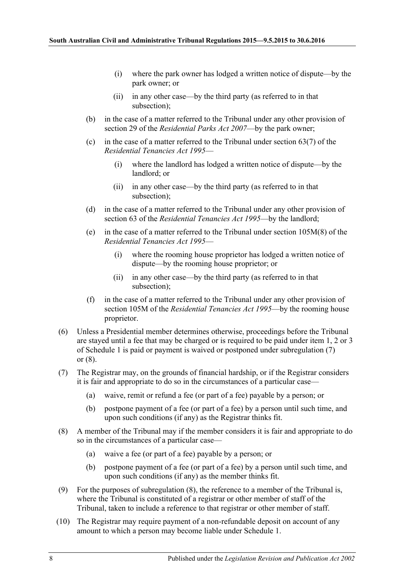- (i) where the park owner has lodged a written notice of dispute—by the park owner; or
- (ii) in any other case—by the third party (as referred to in that subsection);
- (b) in the case of a matter referred to the Tribunal under any other provision of section 29 of the *[Residential Parks Act](http://www.legislation.sa.gov.au/index.aspx?action=legref&type=act&legtitle=Residential%20Parks%20Act%202007) 2007*—by the park owner;
- (c) in the case of a matter referred to the Tribunal under section  $63(7)$  of the *[Residential Tenancies Act](http://www.legislation.sa.gov.au/index.aspx?action=legref&type=act&legtitle=Residential%20Tenancies%20Act%201995) 1995*—
	- (i) where the landlord has lodged a written notice of dispute—by the landlord; or
	- (ii) in any other case—by the third party (as referred to in that subsection);
- (d) in the case of a matter referred to the Tribunal under any other provision of section 63 of the *[Residential Tenancies Act](http://www.legislation.sa.gov.au/index.aspx?action=legref&type=act&legtitle=Residential%20Tenancies%20Act%201995) 1995*—by the landlord;
- <span id="page-7-0"></span>(e) in the case of a matter referred to the Tribunal under section 105M(8) of the *[Residential Tenancies Act](http://www.legislation.sa.gov.au/index.aspx?action=legref&type=act&legtitle=Residential%20Tenancies%20Act%201995) 1995*—
	- (i) where the rooming house proprietor has lodged a written notice of dispute—by the rooming house proprietor; or
	- (ii) in any other case—by the third party (as referred to in that subsection);
- (f) in the case of a matter referred to the Tribunal under any other provision of section 105M of the *[Residential Tenancies Act](http://www.legislation.sa.gov.au/index.aspx?action=legref&type=act&legtitle=Residential%20Tenancies%20Act%201995) 1995*—by the rooming house proprietor.
- <span id="page-7-1"></span>(6) Unless a Presidential member determines otherwise, proceedings before the Tribunal are stayed until a fee that may be charged or is required to be paid under item 1, 2 or 3 of [Schedule](#page-8-0) 1 is paid or payment is waived or postponed under [subregulation](#page-7-2) (7) or [\(8\).](#page-7-3)
- <span id="page-7-2"></span>(7) The Registrar may, on the grounds of financial hardship, or if the Registrar considers it is fair and appropriate to do so in the circumstances of a particular case—
	- (a) waive, remit or refund a fee (or part of a fee) payable by a person; or
	- (b) postpone payment of a fee (or part of a fee) by a person until such time, and upon such conditions (if any) as the Registrar thinks fit.
- <span id="page-7-3"></span>(8) A member of the Tribunal may if the member considers it is fair and appropriate to do so in the circumstances of a particular case—
	- (a) waive a fee (or part of a fee) payable by a person; or
	- (b) postpone payment of a fee (or part of a fee) by a person until such time, and upon such conditions (if any) as the member thinks fit.
- (9) For the purposes of [subregulation](#page-7-3) (8), the reference to a member of the Tribunal is, where the Tribunal is constituted of a registrar or other member of staff of the Tribunal, taken to include a reference to that registrar or other member of staff.
- (10) The Registrar may require payment of a non-refundable deposit on account of any amount to which a person may become liable under [Schedule](#page-8-0) 1.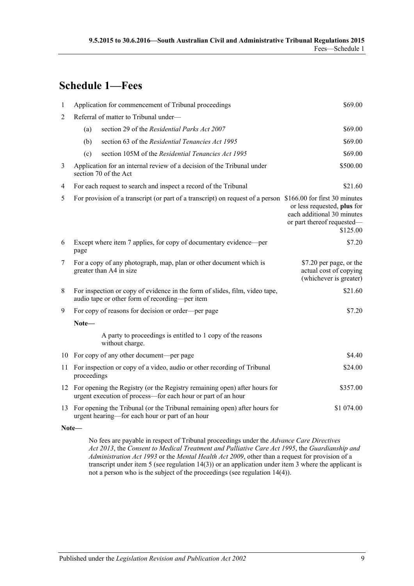# <span id="page-8-0"></span>**Schedule 1—Fees**

| 1              |                                                                                                                                               | Application for commencement of Tribunal proceedings                                                                                                     | \$69.00                                                                                             |  |  |
|----------------|-----------------------------------------------------------------------------------------------------------------------------------------------|----------------------------------------------------------------------------------------------------------------------------------------------------------|-----------------------------------------------------------------------------------------------------|--|--|
| $\overline{2}$ |                                                                                                                                               | Referral of matter to Tribunal under-                                                                                                                    |                                                                                                     |  |  |
|                | (a)                                                                                                                                           | section 29 of the Residential Parks Act 2007                                                                                                             | \$69.00                                                                                             |  |  |
|                | (b)                                                                                                                                           | section 63 of the Residential Tenancies Act 1995                                                                                                         | \$69.00                                                                                             |  |  |
|                | (c)                                                                                                                                           | section 105M of the Residential Tenancies Act 1995                                                                                                       | \$69.00                                                                                             |  |  |
| 3              | \$500.00<br>Application for an internal review of a decision of the Tribunal under<br>section 70 of the Act                                   |                                                                                                                                                          |                                                                                                     |  |  |
| 4              | For each request to search and inspect a record of the Tribunal<br>\$21.60                                                                    |                                                                                                                                                          |                                                                                                     |  |  |
| 5              |                                                                                                                                               | For provision of a transcript (or part of a transcript) on request of a person \$166.00 for first 30 minutes                                             | or less requested, plus for<br>each additional 30 minutes<br>or part thereof requested-<br>\$125.00 |  |  |
| 6              | Except where item 7 applies, for copy of documentary evidence—per<br>\$7.20<br>page                                                           |                                                                                                                                                          |                                                                                                     |  |  |
| $\overline{7}$ | For a copy of any photograph, map, plan or other document which is<br>greater than A4 in size                                                 |                                                                                                                                                          | \$7.20 per page, or the<br>actual cost of copying<br>(whichever is greater)                         |  |  |
| 8              | For inspection or copy of evidence in the form of slides, film, video tape,<br>audio tape or other form of recording-per item                 |                                                                                                                                                          | \$21.60                                                                                             |  |  |
| 9              |                                                                                                                                               | For copy of reasons for decision or order—per page                                                                                                       | \$7.20                                                                                              |  |  |
|                | Note-                                                                                                                                         |                                                                                                                                                          |                                                                                                     |  |  |
|                |                                                                                                                                               | A party to proceedings is entitled to 1 copy of the reasons<br>without charge.                                                                           |                                                                                                     |  |  |
|                |                                                                                                                                               | 10 For copy of any other document—per page                                                                                                               | \$4.40                                                                                              |  |  |
|                | proceedings                                                                                                                                   | 11 For inspection or copy of a video, audio or other recording of Tribunal                                                                               | \$24.00                                                                                             |  |  |
|                |                                                                                                                                               | 12 For opening the Registry (or the Registry remaining open) after hours for<br>\$357.00<br>urgent execution of process-for each hour or part of an hour |                                                                                                     |  |  |
|                | 13 For opening the Tribunal (or the Tribunal remaining open) after hours for<br>\$1 074.00<br>urgent hearing—for each hour or part of an hour |                                                                                                                                                          |                                                                                                     |  |  |

**Note—**

No fees are payable in respect of Tribunal proceedings under the *[Advance Care Directives](http://www.legislation.sa.gov.au/index.aspx?action=legref&type=act&legtitle=Advance%20Care%20Directives%20Act%202013)  Act [2013](http://www.legislation.sa.gov.au/index.aspx?action=legref&type=act&legtitle=Advance%20Care%20Directives%20Act%202013)*, the *[Consent to Medical Treatment and Palliative Care Act](http://www.legislation.sa.gov.au/index.aspx?action=legref&type=act&legtitle=Consent%20to%20Medical%20Treatment%20and%20Palliative%20Care%20Act%201995) 1995*, the *[Guardianship and](http://www.legislation.sa.gov.au/index.aspx?action=legref&type=act&legtitle=Guardianship%20and%20Administration%20Act%201993)  [Administration Act](http://www.legislation.sa.gov.au/index.aspx?action=legref&type=act&legtitle=Guardianship%20and%20Administration%20Act%201993) 1993* or the *[Mental Health Act](http://www.legislation.sa.gov.au/index.aspx?action=legref&type=act&legtitle=Mental%20Health%20Act%202009) 2009*, other than a request for provision of a transcript under item 5 (se[e regulation](#page-6-3) 14(3)) or an application under item 3 where the applicant is not a person who is the subject of the proceedings (se[e regulation](#page-6-2) 14(4)).